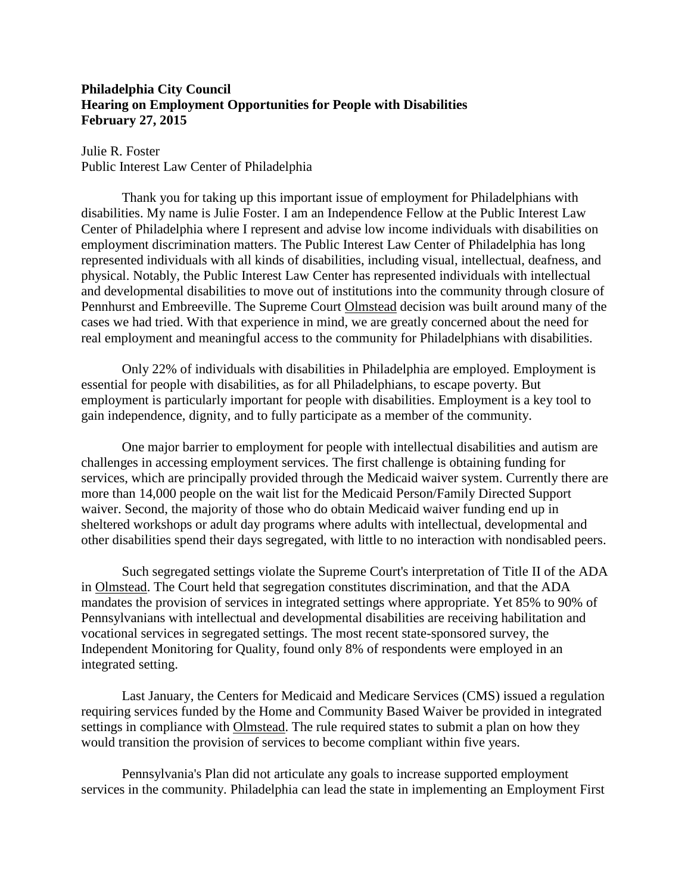## **Philadelphia City Council Hearing on Employment Opportunities for People with Disabilities February 27, 2015**

Julie R. Foster Public Interest Law Center of Philadelphia

Thank you for taking up this important issue of employment for Philadelphians with disabilities. My name is Julie Foster. I am an Independence Fellow at the Public Interest Law Center of Philadelphia where I represent and advise low income individuals with disabilities on employment discrimination matters. The Public Interest Law Center of Philadelphia has long represented individuals with all kinds of disabilities, including visual, intellectual, deafness, and physical. Notably, the Public Interest Law Center has represented individuals with intellectual and developmental disabilities to move out of institutions into the community through closure of Pennhurst and Embreeville. The Supreme Court Olmstead decision was built around many of the cases we had tried. With that experience in mind, we are greatly concerned about the need for real employment and meaningful access to the community for Philadelphians with disabilities.

Only 22% of individuals with disabilities in Philadelphia are employed. Employment is essential for people with disabilities, as for all Philadelphians, to escape poverty. But employment is particularly important for people with disabilities. Employment is a key tool to gain independence, dignity, and to fully participate as a member of the community.

One major barrier to employment for people with intellectual disabilities and autism are challenges in accessing employment services. The first challenge is obtaining funding for services, which are principally provided through the Medicaid waiver system. Currently there are more than 14,000 people on the wait list for the Medicaid Person/Family Directed Support waiver. Second, the majority of those who do obtain Medicaid waiver funding end up in sheltered workshops or adult day programs where adults with intellectual, developmental and other disabilities spend their days segregated, with little to no interaction with nondisabled peers.

Such segregated settings violate the Supreme Court's interpretation of Title II of the ADA in Olmstead. The Court held that segregation constitutes discrimination, and that the ADA mandates the provision of services in integrated settings where appropriate. Yet 85% to 90% of Pennsylvanians with intellectual and developmental disabilities are receiving habilitation and vocational services in segregated settings. The most recent state-sponsored survey, the Independent Monitoring for Quality, found only 8% of respondents were employed in an integrated setting.

Last January, the Centers for Medicaid and Medicare Services (CMS) issued a regulation requiring services funded by the Home and Community Based Waiver be provided in integrated settings in compliance with Olmstead. The rule required states to submit a plan on how they would transition the provision of services to become compliant within five years.

Pennsylvania's Plan did not articulate any goals to increase supported employment services in the community. Philadelphia can lead the state in implementing an Employment First